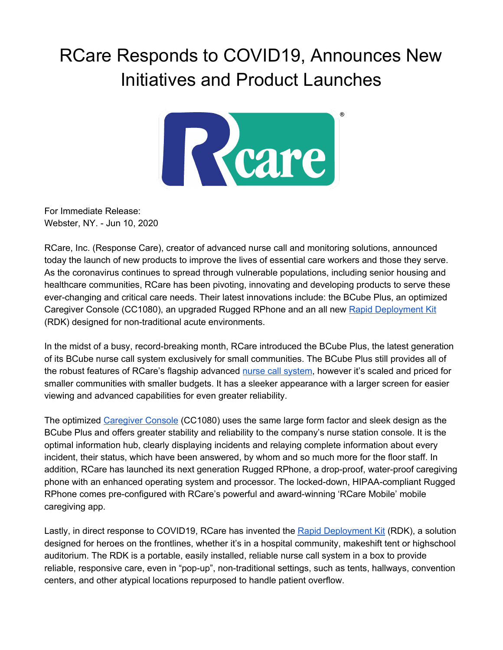## RCare Responds to COVID19, Announces New Initiatives and Product Launches



For Immediate Release: Webster, NY. - Jun 10, 2020

RCare, Inc. (Response Care), creator of advanced nurse call and monitoring solutions, announced today the launch of new products to improve the lives of essential care workers and those they serve. As the coronavirus continues to spread through vulnerable populations, including senior housing and healthcare communities, RCare has been pivoting, innovating and developing products to serve these ever-changing and critical care needs. Their latest innovations include: the BCube Plus, an optimized Caregiver Console (CC1080), an upgraded Rugged RPhone and an all new Rapid [Deployment](https://rcareinc.com/products/rapid-deployment-kit/) Kit (RDK) designed for non-traditional acute environments.

In the midst of a busy, record-breaking month, RCare introduced the BCube Plus, the latest generation of its BCube nurse call system exclusively for small communities. The BCube Plus still provides all of the robust features of RCare's flagship advanced nurse call [system](https://rcareinc.com/), however it's scaled and priced for smaller communities with smaller budgets. It has a sleeker appearance with a larger screen for easier viewing and advanced capabilities for even greater reliability.

The optimized [Caregiver](https://rcareinc.com/products/accessories/) Console (CC1080) uses the same large form factor and sleek design as the BCube Plus and offers greater stability and reliability to the company's nurse station console. It is the optimal information hub, clearly displaying incidents and relaying complete information about every incident, their status, which have been answered, by whom and so much more for the floor staff. In addition, RCare has launched its next generation Rugged RPhone, a drop-proof, water-proof caregiving phone with an enhanced operating system and processor. The locked-down, HIPAA-compliant Rugged RPhone comes pre-configured with RCare's powerful and award-winning 'RCare Mobile' mobile caregiving app.

Lastly, in direct response to COVID19, RCare has invented the Rapid [Deployment](https://rcareinc.com/products/rapid-deployment-kit/) Kit (RDK), a solution designed for heroes on the frontlines, whether it's in a hospital community, makeshift tent or highschool auditorium. The RDK is a portable, easily installed, reliable nurse call system in a box to provide reliable, responsive care, even in "pop-up", non-traditional settings, such as tents, hallways, convention centers, and other atypical locations repurposed to handle patient overflow.